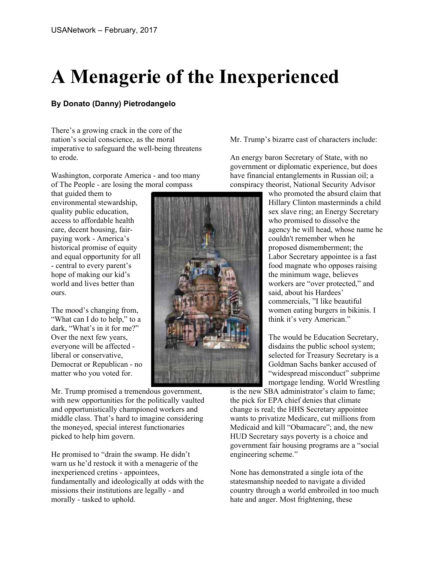## **A Menagerie of the Inexperienced**

## **By Donato (Danny) Pietrodangelo**

There's a growing crack in the core of the nation's social conscience, as the moral imperative to safeguard the well-being threatens to erode.

Washington, corporate America - and too many of The People - are losing the moral compass

that guided them to environmental stewardship, quality public education, access to affordable health care, decent housing, fairpaying work - America's historical promise of equity and equal opportunity for all - central to every parent's hope of making our kid's world and lives better than ours.

The mood's changing from, "What can I do to help," to a dark, "What's in it for me?" Over the next few years, everyone will be affected liberal or conservative, Democrat or Republican - no matter who you voted for.

Mr. Trump promised a tremendous government, with new opportunities for the politically vaulted and opportunistically championed workers and middle class. That's hard to imagine considering the moneyed, special interest functionaries picked to help him govern.

He promised to "drain the swamp. He didn't warn us he'd restock it with a menagerie of the inexperienced cretins - appointees, fundamentally and ideologically at odds with the missions their institutions are legally - and morally - tasked to uphold.

Mr. Trump's bizarre cast of characters include:

An energy baron Secretary of State, with no government or diplomatic experience, but does have financial entanglements in Russian oil; a conspiracy theorist, National Security Advisor

> who promoted the absurd claim that Hillary Clinton masterminds a child sex slave ring; an Energy Secretary who promised to dissolve the agency he will head, whose name he couldn't remember when he proposed dismemberment; the Labor Secretary appointee is a fast food magnate who opposes raising the minimum wage, believes workers are "over protected," and said, about his Hardees' commercials, "I like beautiful women eating burgers in bikinis. I think it's very American."

The would be Education Secretary, disdains the public school system; selected for Treasury Secretary is a Goldman Sachs banker accused of "widespread misconduct" subprime mortgage lending. World Wrestling

is the new SBA administrator's claim to fame; the pick for EPA chief denies that climate change is real; the HHS Secretary appointee wants to privatize Medicare, cut millions from Medicaid and kill "Obamacare"; and, the new HUD Secretary says poverty is a choice and government fair housing programs are a "social engineering scheme."

None has demonstrated a single iota of the statesmanship needed to navigate a divided country through a world embroiled in too much hate and anger. Most frightening, these

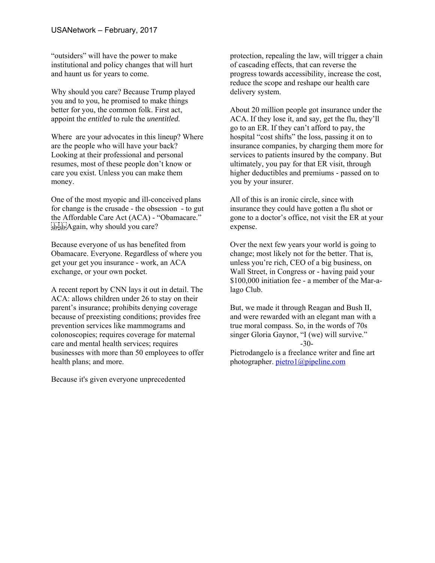"outsiders" will have the power to make institutional and policy changes that will hurt and haunt us for years to come.

Why should you care? Because Trump played you and to you, he promised to make things better for you, the common folk. First act, appoint the *entitled* to rule the *unentitled.*

Where are your advocates in this lineup? Where are the people who will have your back? Looking at their professional and personal resumes, most of these people don't know or care you exist. Unless you can make them money.

One of the most myopic and ill-conceived plans for change is the crusade - the obsession - to gut the Affordable Care Act (ACA) - "Obamacare."  $E_{\text{SEP}}$ :  $A$ gain, why should you care?

Because everyone of us has benefited from Obamacare. Everyone. Regardless of where you get your get you insurance - work, an ACA exchange, or your own pocket.

A recent report by CNN lays it out in detail. The ACA: allows children under 26 to stay on their parent's insurance; prohibits denying coverage because of preexisting conditions; provides free prevention services like mammograms and colonoscopies; requires coverage for maternal care and mental health services; requires businesses with more than 50 employees to offer health plans; and more.

Because it's given everyone unprecedented

protection, repealing the law, will trigger a chain of cascading effects, that can reverse the progress towards accessibility, increase the cost, reduce the scope and reshape our health care delivery system.

About 20 million people got insurance under the ACA. If they lose it, and say, get the flu, they'll go to an ER. If they can't afford to pay, the hospital "cost shifts" the loss, passing it on to insurance companies, by charging them more for services to patients insured by the company. But ultimately, you pay for that ER visit, through higher deductibles and premiums - passed on to you by your insurer.

All of this is an ironic circle, since with insurance they could have gotten a flu shot or gone to a doctor's office, not visit the ER at your expense.

Over the next few years your world is going to change; most likely not for the better. That is, unless you're rich, CEO of a big business, on Wall Street, in Congress or - having paid your \$100,000 initiation fee - a member of the Mar-alago Club.

But, we made it through Reagan and Bush II, and were rewarded with an elegant man with a true moral compass. So, in the words of 70s singer Gloria Gaynor, "I (we) will survive." -30-

Pietrodangelo is a freelance writer and fine art photographer. pietro1@pipeline.com